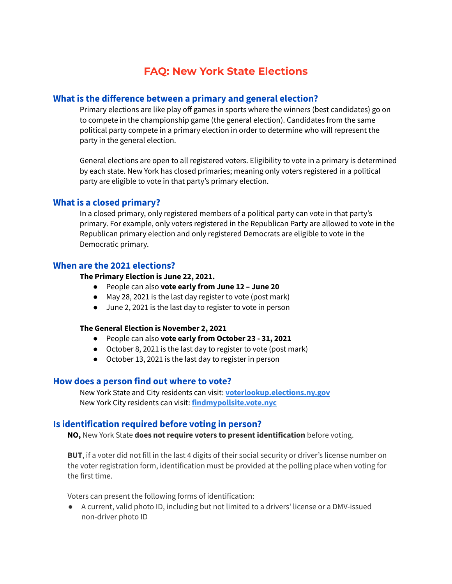# **FAQ: New York State Elections**

## **What is the difference between a primary and general election?**

Primary elections are like play off games in sports where the winners (best candidates) go on to compete in the championship game (the general election). Candidates from the same political party compete in a primary election in order to determine who will represent the party in the general election.

General elections are open to all registered voters. Eligibility to vote in a primary is determined by each state. New York has closed primaries; meaning only voters registered in a political party are eligible to vote in that party's primary election.

## **What is a closed primary?**

In a closed primary, only registered members of a political party can vote in that party's primary. For example, only voters registered in the Republican Party are allowed to vote in the Republican primary election and only registered Democrats are eligible to vote in the Democratic primary.

## **When are the 2021 elections?**

#### **The Primary Election is June 22, 2021.**

- People can also **vote early from June 12 – June 20**
- May 28, 2021 is the last day register to vote (post mark)
- June 2, 2021 is the last day to register to vote in person

#### **The General Election is November 2, 2021**

- People can also **vote early from October 23 - 31, 2021**
- October 8, 2021 is the last day to register to vote (post mark)
- October 13, 2021 is the last day to register in person

#### **How does a person find out where to vote?**

New York State and City residents can visit: **[voterlookup.elections.ny.gov](https://voterlookup.elections.ny.gov/)** New York City residents can visit: **[findmypollsite.vote.nyc](https://findmypollsite.vote.nyc/)**

## **Is identification required before voting in person?**

**NO,** New York State **does not require voters to present identification** before voting.

**BUT**, if a voter did not fill in the last 4 digits of their social security or driver's license number on the voter registration form, identification must be provided at the polling place when voting for the first time.

Voters can present the following forms of identification:

● A current, valid photo ID, including but not limited to a drivers' license or a DMV-issued non-driver photo ID